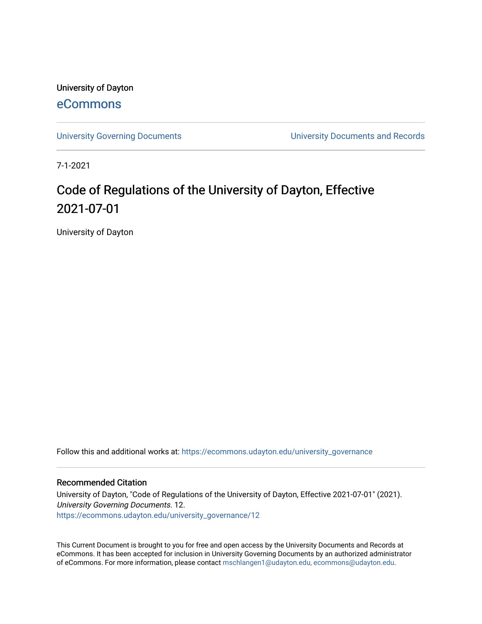University of Dayton [eCommons](https://ecommons.udayton.edu/)

[University Governing Documents](https://ecommons.udayton.edu/university_governance) [University Documents and Records](https://ecommons.udayton.edu/ud_documents) 

7-1-2021

# Code of Regulations of the University of Dayton, Effective 2021-07-01

University of Dayton

Follow this and additional works at: [https://ecommons.udayton.edu/university\\_governance](https://ecommons.udayton.edu/university_governance?utm_source=ecommons.udayton.edu%2Funiversity_governance%2F12&utm_medium=PDF&utm_campaign=PDFCoverPages) 

#### Recommended Citation

University of Dayton, "Code of Regulations of the University of Dayton, Effective 2021-07-01" (2021). University Governing Documents. 12. [https://ecommons.udayton.edu/university\\_governance/12](https://ecommons.udayton.edu/university_governance/12?utm_source=ecommons.udayton.edu%2Funiversity_governance%2F12&utm_medium=PDF&utm_campaign=PDFCoverPages)

This Current Document is brought to you for free and open access by the University Documents and Records at eCommons. It has been accepted for inclusion in University Governing Documents by an authorized administrator of eCommons. For more information, please contact [mschlangen1@udayton.edu, ecommons@udayton.edu.](mailto:mschlangen1@udayton.edu,%20ecommons@udayton.edu)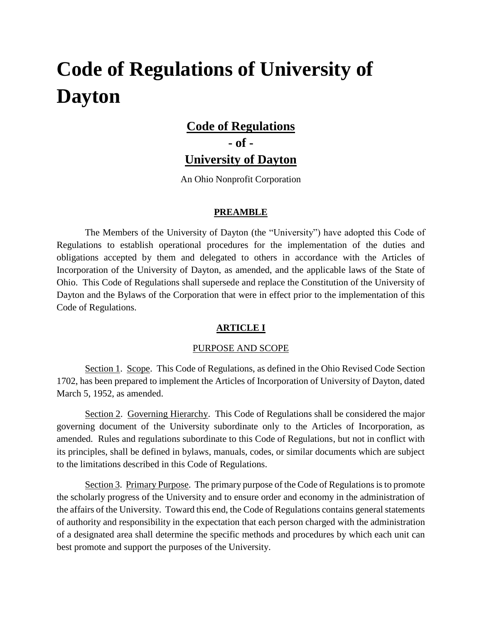# **Code of Regulations of University of Dayton**

# **Code of Regulations**

**- of -**

# **University of Dayton**

An Ohio Nonprofit Corporation

#### **PREAMBLE**

The Members of the University of Dayton (the "University") have adopted this Code of Regulations to establish operational procedures for the implementation of the duties and obligations accepted by them and delegated to others in accordance with the Articles of Incorporation of the University of Dayton, as amended, and the applicable laws of the State of Ohio. This Code of Regulations shall supersede and replace the Constitution of the University of Dayton and the Bylaws of the Corporation that were in effect prior to the implementation of this Code of Regulations.

# **ARTICLE I**

#### PURPOSE AND SCOPE

Section 1. Scope. This Code of Regulations, as defined in the Ohio Revised Code Section 1702, has been prepared to implement the Articles of Incorporation of University of Dayton, dated March 5, 1952, as amended.

Section 2. Governing Hierarchy. This Code of Regulations shall be considered the major governing document of the University subordinate only to the Articles of Incorporation, as amended. Rules and regulations subordinate to this Code of Regulations, but not in conflict with its principles, shall be defined in bylaws, manuals, codes, or similar documents which are subject to the limitations described in this Code of Regulations.

Section 3. Primary Purpose. The primary purpose of the Code of Regulations is to promote the scholarly progress of the University and to ensure order and economy in the administration of the affairs of the University. Toward this end, the Code of Regulations contains general statements of authority and responsibility in the expectation that each person charged with the administration of a designated area shall determine the specific methods and procedures by which each unit can best promote and support the purposes of the University.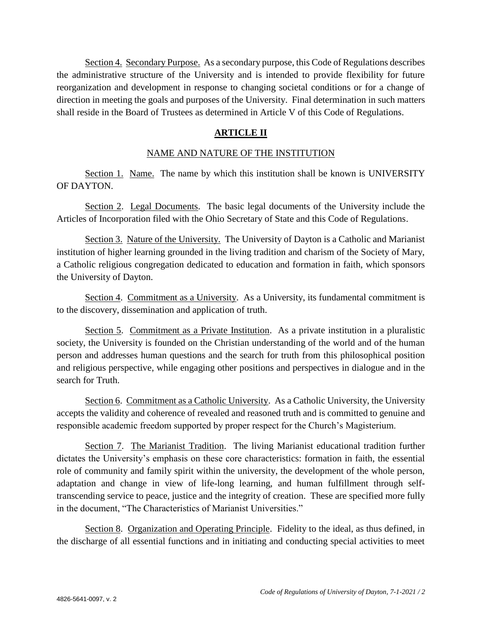Section 4. Secondary Purpose. As a secondary purpose, this Code of Regulations describes the administrative structure of the University and is intended to provide flexibility for future reorganization and development in response to changing societal conditions or for a change of direction in meeting the goals and purposes of the University. Final determination in such matters shall reside in the Board of Trustees as determined in Article V of this Code of Regulations.

### **ARTICLE II**

#### NAME AND NATURE OF THE INSTITUTION

Section 1. Name. The name by which this institution shall be known is UNIVERSITY OF DAYTON.

Section 2. Legal Documents. The basic legal documents of the University include the Articles of Incorporation filed with the Ohio Secretary of State and this Code of Regulations.

Section 3. Nature of the University. The University of Dayton is a Catholic and Marianist institution of higher learning grounded in the living tradition and charism of the Society of Mary, a Catholic religious congregation dedicated to education and formation in faith, which sponsors the University of Dayton.

Section 4. Commitment as a University. As a University, its fundamental commitment is to the discovery, dissemination and application of truth.

Section 5. Commitment as a Private Institution. As a private institution in a pluralistic society, the University is founded on the Christian understanding of the world and of the human person and addresses human questions and the search for truth from this philosophical position and religious perspective, while engaging other positions and perspectives in dialogue and in the search for Truth.

Section 6. Commitment as a Catholic University. As a Catholic University, the University accepts the validity and coherence of revealed and reasoned truth and is committed to genuine and responsible academic freedom supported by proper respect for the Church's Magisterium.

Section 7. The Marianist Tradition. The living Marianist educational tradition further dictates the University's emphasis on these core characteristics: formation in faith, the essential role of community and family spirit within the university, the development of the whole person, adaptation and change in view of life-long learning, and human fulfillment through selftranscending service to peace, justice and the integrity of creation. These are specified more fully in the document, "The Characteristics of Marianist Universities."

Section 8. Organization and Operating Principle. Fidelity to the ideal, as thus defined, in the discharge of all essential functions and in initiating and conducting special activities to meet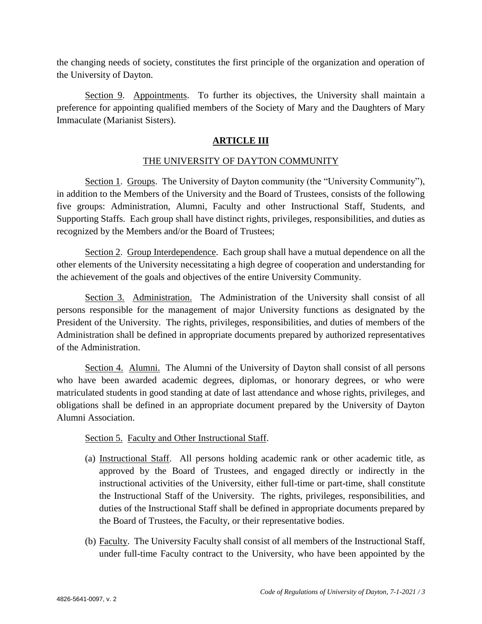the changing needs of society, constitutes the first principle of the organization and operation of the University of Dayton.

Section 9. Appointments. To further its objectives, the University shall maintain a preference for appointing qualified members of the Society of Mary and the Daughters of Mary Immaculate (Marianist Sisters).

#### **ARTICLE III**

#### THE UNIVERSITY OF DAYTON COMMUNITY

Section 1. Groups. The University of Dayton community (the "University Community"), in addition to the Members of the University and the Board of Trustees, consists of the following five groups: Administration, Alumni, Faculty and other Instructional Staff, Students, and Supporting Staffs. Each group shall have distinct rights, privileges, responsibilities, and duties as recognized by the Members and/or the Board of Trustees;

Section 2. Group Interdependence. Each group shall have a mutual dependence on all the other elements of the University necessitating a high degree of cooperation and understanding for the achievement of the goals and objectives of the entire University Community.

Section 3. Administration. The Administration of the University shall consist of all persons responsible for the management of major University functions as designated by the President of the University. The rights, privileges, responsibilities, and duties of members of the Administration shall be defined in appropriate documents prepared by authorized representatives of the Administration.

Section 4. Alumni. The Alumni of the University of Dayton shall consist of all persons who have been awarded academic degrees, diplomas, or honorary degrees, or who were matriculated students in good standing at date of last attendance and whose rights, privileges, and obligations shall be defined in an appropriate document prepared by the University of Dayton Alumni Association.

#### Section 5. Faculty and Other Instructional Staff.

- (a) Instructional Staff. All persons holding academic rank or other academic title, as approved by the Board of Trustees, and engaged directly or indirectly in the instructional activities of the University, either full-time or part-time, shall constitute the Instructional Staff of the University. The rights, privileges, responsibilities, and duties of the Instructional Staff shall be defined in appropriate documents prepared by the Board of Trustees, the Faculty, or their representative bodies.
- (b) Faculty. The University Faculty shall consist of all members of the Instructional Staff, under full-time Faculty contract to the University, who have been appointed by the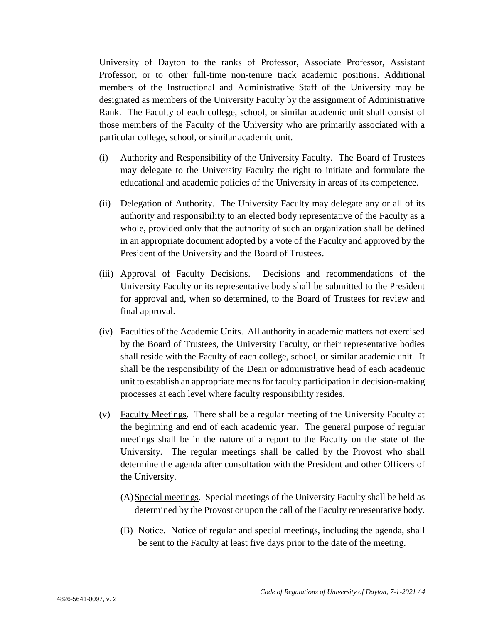University of Dayton to the ranks of Professor, Associate Professor, Assistant Professor, or to other full-time non-tenure track academic positions. Additional members of the Instructional and Administrative Staff of the University may be designated as members of the University Faculty by the assignment of Administrative Rank. The Faculty of each college, school, or similar academic unit shall consist of those members of the Faculty of the University who are primarily associated with a particular college, school, or similar academic unit.

- (i) Authority and Responsibility of the University Faculty. The Board of Trustees may delegate to the University Faculty the right to initiate and formulate the educational and academic policies of the University in areas of its competence.
- (ii) Delegation of Authority. The University Faculty may delegate any or all of its authority and responsibility to an elected body representative of the Faculty as a whole, provided only that the authority of such an organization shall be defined in an appropriate document adopted by a vote of the Faculty and approved by the President of the University and the Board of Trustees.
- (iii) Approval of Faculty Decisions. Decisions and recommendations of the University Faculty or its representative body shall be submitted to the President for approval and, when so determined, to the Board of Trustees for review and final approval.
- (iv) Faculties of the Academic Units. All authority in academic matters not exercised by the Board of Trustees, the University Faculty, or their representative bodies shall reside with the Faculty of each college, school, or similar academic unit. It shall be the responsibility of the Dean or administrative head of each academic unit to establish an appropriate means for faculty participation in decision-making processes at each level where faculty responsibility resides.
- (v) Faculty Meetings. There shall be a regular meeting of the University Faculty at the beginning and end of each academic year. The general purpose of regular meetings shall be in the nature of a report to the Faculty on the state of the University. The regular meetings shall be called by the Provost who shall determine the agenda after consultation with the President and other Officers of the University.
	- (A)Special meetings. Special meetings of the University Faculty shall be held as determined by the Provost or upon the call of the Faculty representative body.
	- (B) Notice. Notice of regular and special meetings, including the agenda, shall be sent to the Faculty at least five days prior to the date of the meeting.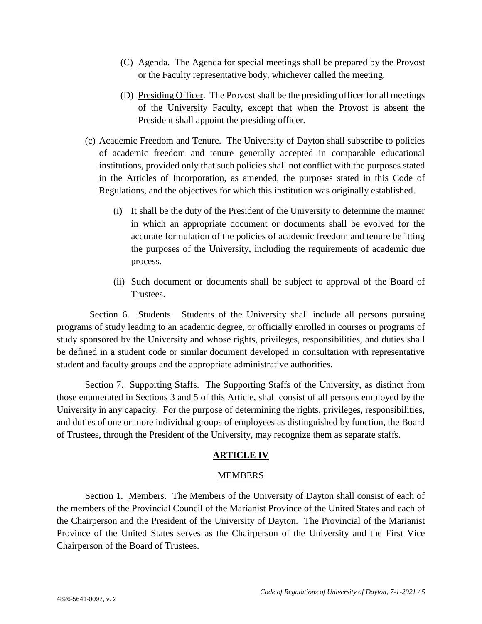- (C) Agenda. The Agenda for special meetings shall be prepared by the Provost or the Faculty representative body, whichever called the meeting.
- (D) Presiding Officer. The Provost shall be the presiding officer for all meetings of the University Faculty, except that when the Provost is absent the President shall appoint the presiding officer.
- (c) Academic Freedom and Tenure. The University of Dayton shall subscribe to policies of academic freedom and tenure generally accepted in comparable educational institutions, provided only that such policies shall not conflict with the purposes stated in the Articles of Incorporation, as amended, the purposes stated in this Code of Regulations, and the objectives for which this institution was originally established.
	- (i) It shall be the duty of the President of the University to determine the manner in which an appropriate document or documents shall be evolved for the accurate formulation of the policies of academic freedom and tenure befitting the purposes of the University, including the requirements of academic due process.
	- (ii) Such document or documents shall be subject to approval of the Board of Trustees.

 Section 6. Students. Students of the University shall include all persons pursuing programs of study leading to an academic degree, or officially enrolled in courses or programs of study sponsored by the University and whose rights, privileges, responsibilities, and duties shall be defined in a student code or similar document developed in consultation with representative student and faculty groups and the appropriate administrative authorities.

Section 7. Supporting Staffs. The Supporting Staffs of the University, as distinct from those enumerated in Sections 3 and 5 of this Article, shall consist of all persons employed by the University in any capacity. For the purpose of determining the rights, privileges, responsibilities, and duties of one or more individual groups of employees as distinguished by function, the Board of Trustees, through the President of the University, may recognize them as separate staffs.

#### **ARTICLE IV**

#### MEMBERS

Section 1. Members. The Members of the University of Dayton shall consist of each of the members of the Provincial Council of the Marianist Province of the United States and each of the Chairperson and the President of the University of Dayton. The Provincial of the Marianist Province of the United States serves as the Chairperson of the University and the First Vice Chairperson of the Board of Trustees.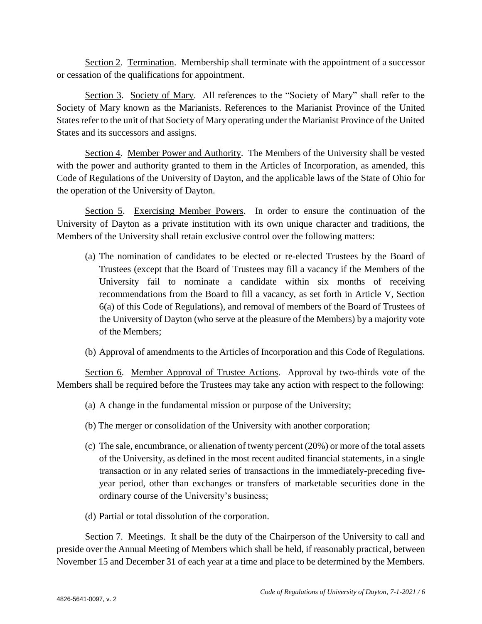Section 2. Termination. Membership shall terminate with the appointment of a successor or cessation of the qualifications for appointment.

Section 3. Society of Mary. All references to the "Society of Mary" shall refer to the Society of Mary known as the Marianists. References to the Marianist Province of the United States refer to the unit of that Society of Mary operating under the Marianist Province of the United States and its successors and assigns.

Section 4. Member Power and Authority. The Members of the University shall be vested with the power and authority granted to them in the Articles of Incorporation, as amended, this Code of Regulations of the University of Dayton, and the applicable laws of the State of Ohio for the operation of the University of Dayton.

Section 5. Exercising Member Powers. In order to ensure the continuation of the University of Dayton as a private institution with its own unique character and traditions, the Members of the University shall retain exclusive control over the following matters:

- (a) The nomination of candidates to be elected or re-elected Trustees by the Board of Trustees (except that the Board of Trustees may fill a vacancy if the Members of the University fail to nominate a candidate within six months of receiving recommendations from the Board to fill a vacancy, as set forth in Article V, Section 6(a) of this Code of Regulations), and removal of members of the Board of Trustees of the University of Dayton (who serve at the pleasure of the Members) by a majority vote of the Members;
- (b) Approval of amendments to the Articles of Incorporation and this Code of Regulations.

Section 6. Member Approval of Trustee Actions. Approval by two-thirds vote of the Members shall be required before the Trustees may take any action with respect to the following:

- (a) A change in the fundamental mission or purpose of the University;
- (b) The merger or consolidation of the University with another corporation;
- (c) The sale, encumbrance, or alienation of twenty percent (20%) or more of the total assets of the University, as defined in the most recent audited financial statements, in a single transaction or in any related series of transactions in the immediately-preceding fiveyear period, other than exchanges or transfers of marketable securities done in the ordinary course of the University's business;
- (d) Partial or total dissolution of the corporation.

Section 7. Meetings. It shall be the duty of the Chairperson of the University to call and preside over the Annual Meeting of Members which shall be held, if reasonably practical, between November 15 and December 31 of each year at a time and place to be determined by the Members.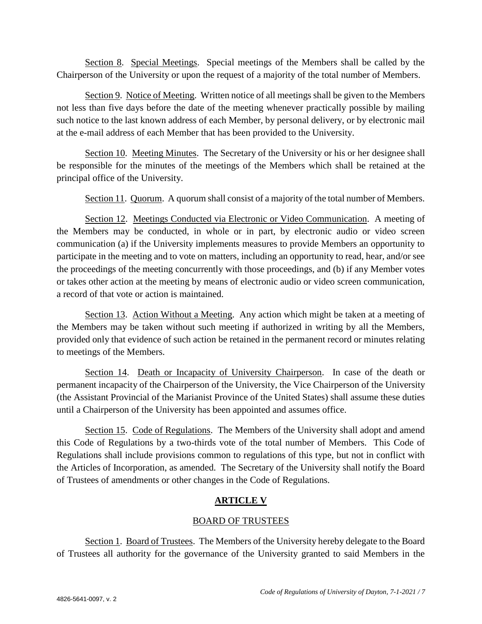Section 8. Special Meetings. Special meetings of the Members shall be called by the Chairperson of the University or upon the request of a majority of the total number of Members.

Section 9. Notice of Meeting. Written notice of all meetings shall be given to the Members not less than five days before the date of the meeting whenever practically possible by mailing such notice to the last known address of each Member, by personal delivery, or by electronic mail at the e-mail address of each Member that has been provided to the University.

Section 10. Meeting Minutes. The Secretary of the University or his or her designee shall be responsible for the minutes of the meetings of the Members which shall be retained at the principal office of the University.

Section 11. Quorum. A quorum shall consist of a majority of the total number of Members.

Section 12. Meetings Conducted via Electronic or Video Communication. A meeting of the Members may be conducted, in whole or in part, by electronic audio or video screen communication (a) if the University implements measures to provide Members an opportunity to participate in the meeting and to vote on matters, including an opportunity to read, hear, and/or see the proceedings of the meeting concurrently with those proceedings, and (b) if any Member votes or takes other action at the meeting by means of electronic audio or video screen communication, a record of that vote or action is maintained.

Section 13. Action Without a Meeting. Any action which might be taken at a meeting of the Members may be taken without such meeting if authorized in writing by all the Members, provided only that evidence of such action be retained in the permanent record or minutes relating to meetings of the Members.

Section 14. Death or Incapacity of University Chairperson. In case of the death or permanent incapacity of the Chairperson of the University, the Vice Chairperson of the University (the Assistant Provincial of the Marianist Province of the United States) shall assume these duties until a Chairperson of the University has been appointed and assumes office.

Section 15. Code of Regulations. The Members of the University shall adopt and amend this Code of Regulations by a two-thirds vote of the total number of Members. This Code of Regulations shall include provisions common to regulations of this type, but not in conflict with the Articles of Incorporation, as amended. The Secretary of the University shall notify the Board of Trustees of amendments or other changes in the Code of Regulations.

# **ARTICLE V**

#### BOARD OF TRUSTEES

Section 1. Board of Trustees. The Members of the University hereby delegate to the Board of Trustees all authority for the governance of the University granted to said Members in the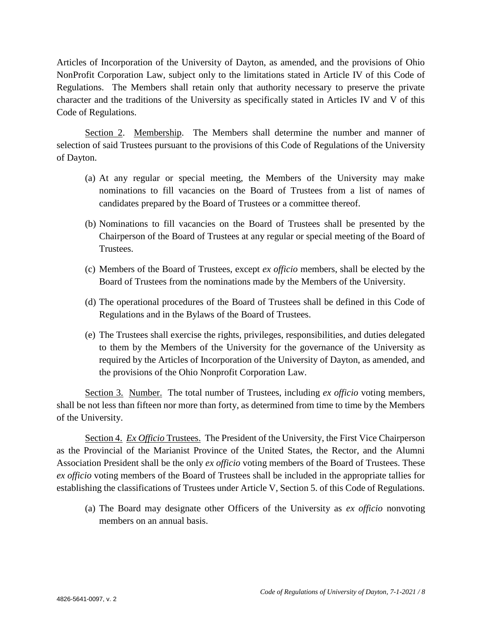Articles of Incorporation of the University of Dayton, as amended, and the provisions of Ohio NonProfit Corporation Law, subject only to the limitations stated in Article IV of this Code of Regulations. The Members shall retain only that authority necessary to preserve the private character and the traditions of the University as specifically stated in Articles IV and V of this Code of Regulations.

Section 2. Membership. The Members shall determine the number and manner of selection of said Trustees pursuant to the provisions of this Code of Regulations of the University of Dayton.

- (a) At any regular or special meeting, the Members of the University may make nominations to fill vacancies on the Board of Trustees from a list of names of candidates prepared by the Board of Trustees or a committee thereof.
- (b) Nominations to fill vacancies on the Board of Trustees shall be presented by the Chairperson of the Board of Trustees at any regular or special meeting of the Board of Trustees.
- (c) Members of the Board of Trustees, except *ex officio* members, shall be elected by the Board of Trustees from the nominations made by the Members of the University.
- (d) The operational procedures of the Board of Trustees shall be defined in this Code of Regulations and in the Bylaws of the Board of Trustees.
- (e) The Trustees shall exercise the rights, privileges, responsibilities, and duties delegated to them by the Members of the University for the governance of the University as required by the Articles of Incorporation of the University of Dayton, as amended, and the provisions of the Ohio Nonprofit Corporation Law.

Section 3. Number. The total number of Trustees, including *ex officio* voting members, shall be not less than fifteen nor more than forty, as determined from time to time by the Members of the University.

Section 4. *Ex Officio* Trustees. The President of the University, the First Vice Chairperson as the Provincial of the Marianist Province of the United States, the Rector, and the Alumni Association President shall be the only *ex officio* voting members of the Board of Trustees. These *ex officio* voting members of the Board of Trustees shall be included in the appropriate tallies for establishing the classifications of Trustees under Article V, Section 5. of this Code of Regulations.

(a) The Board may designate other Officers of the University as *ex officio* nonvoting members on an annual basis.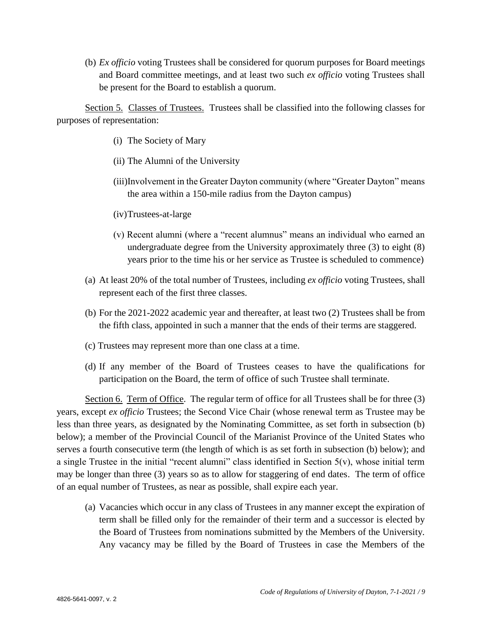(b) *Ex officio* voting Trustees shall be considered for quorum purposes for Board meetings and Board committee meetings, and at least two such *ex officio* voting Trustees shall be present for the Board to establish a quorum.

Section 5. Classes of Trustees. Trustees shall be classified into the following classes for purposes of representation:

- (i) The Society of Mary
- (ii) The Alumni of the University
- (iii)Involvement in the Greater Dayton community (where "Greater Dayton" means the area within a 150-mile radius from the Dayton campus)
- (iv)Trustees-at-large
- (v) Recent alumni (where a "recent alumnus" means an individual who earned an undergraduate degree from the University approximately three (3) to eight (8) years prior to the time his or her service as Trustee is scheduled to commence)
- (a) At least 20% of the total number of Trustees, including *ex officio* voting Trustees, shall represent each of the first three classes.
- (b) For the 2021-2022 academic year and thereafter, at least two (2) Trustees shall be from the fifth class, appointed in such a manner that the ends of their terms are staggered.
- (c) Trustees may represent more than one class at a time.
- (d) If any member of the Board of Trustees ceases to have the qualifications for participation on the Board, the term of office of such Trustee shall terminate.

Section 6. Term of Office. The regular term of office for all Trustees shall be for three (3) years, except *ex officio* Trustees; the Second Vice Chair (whose renewal term as Trustee may be less than three years, as designated by the Nominating Committee, as set forth in subsection (b) below); a member of the Provincial Council of the Marianist Province of the United States who serves a fourth consecutive term (the length of which is as set forth in subsection (b) below); and a single Trustee in the initial "recent alumni" class identified in Section  $5(v)$ , whose initial term may be longer than three (3) years so as to allow for staggering of end dates. The term of office of an equal number of Trustees, as near as possible, shall expire each year.

(a) Vacancies which occur in any class of Trustees in any manner except the expiration of term shall be filled only for the remainder of their term and a successor is elected by the Board of Trustees from nominations submitted by the Members of the University. Any vacancy may be filled by the Board of Trustees in case the Members of the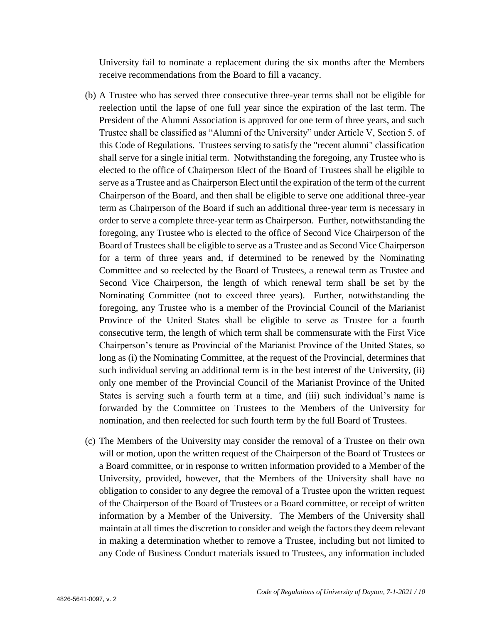University fail to nominate a replacement during the six months after the Members receive recommendations from the Board to fill a vacancy.

- (b) A Trustee who has served three consecutive three-year terms shall not be eligible for reelection until the lapse of one full year since the expiration of the last term. The President of the Alumni Association is approved for one term of three years, and such Trustee shall be classified as "Alumni of the University" under Article V, Section 5. of this Code of Regulations. Trustees serving to satisfy the "recent alumni" classification shall serve for a single initial term. Notwithstanding the foregoing, any Trustee who is elected to the office of Chairperson Elect of the Board of Trustees shall be eligible to serve as a Trustee and as Chairperson Elect until the expiration of the term of the current Chairperson of the Board, and then shall be eligible to serve one additional three-year term as Chairperson of the Board if such an additional three-year term is necessary in order to serve a complete three-year term as Chairperson. Further, notwithstanding the foregoing, any Trustee who is elected to the office of Second Vice Chairperson of the Board of Trustees shall be eligible to serve as a Trustee and as Second Vice Chairperson for a term of three years and, if determined to be renewed by the Nominating Committee and so reelected by the Board of Trustees, a renewal term as Trustee and Second Vice Chairperson, the length of which renewal term shall be set by the Nominating Committee (not to exceed three years). Further, notwithstanding the foregoing, any Trustee who is a member of the Provincial Council of the Marianist Province of the United States shall be eligible to serve as Trustee for a fourth consecutive term, the length of which term shall be commensurate with the First Vice Chairperson's tenure as Provincial of the Marianist Province of the United States, so long as (i) the Nominating Committee, at the request of the Provincial, determines that such individual serving an additional term is in the best interest of the University, (ii) only one member of the Provincial Council of the Marianist Province of the United States is serving such a fourth term at a time, and (iii) such individual's name is forwarded by the Committee on Trustees to the Members of the University for nomination, and then reelected for such fourth term by the full Board of Trustees.
- (c) The Members of the University may consider the removal of a Trustee on their own will or motion, upon the written request of the Chairperson of the Board of Trustees or a Board committee, or in response to written information provided to a Member of the University, provided, however, that the Members of the University shall have no obligation to consider to any degree the removal of a Trustee upon the written request of the Chairperson of the Board of Trustees or a Board committee, or receipt of written information by a Member of the University. The Members of the University shall maintain at all times the discretion to consider and weigh the factors they deem relevant in making a determination whether to remove a Trustee, including but not limited to any Code of Business Conduct materials issued to Trustees, any information included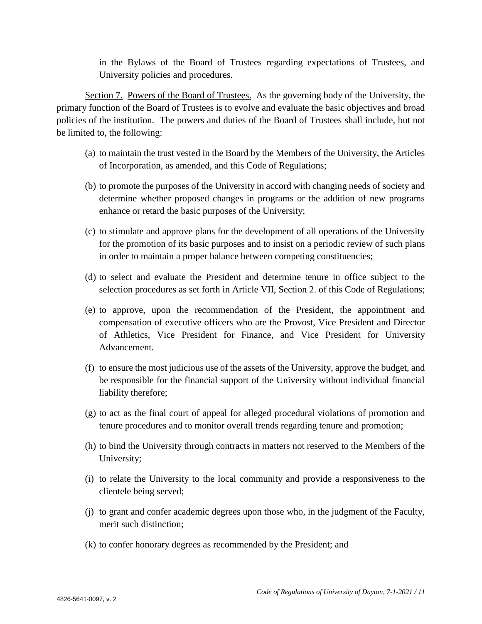in the Bylaws of the Board of Trustees regarding expectations of Trustees, and University policies and procedures.

Section 7. Powers of the Board of Trustees. As the governing body of the University, the primary function of the Board of Trustees is to evolve and evaluate the basic objectives and broad policies of the institution. The powers and duties of the Board of Trustees shall include, but not be limited to, the following:

- (a) to maintain the trust vested in the Board by the Members of the University, the Articles of Incorporation, as amended, and this Code of Regulations;
- (b) to promote the purposes of the University in accord with changing needs of society and determine whether proposed changes in programs or the addition of new programs enhance or retard the basic purposes of the University;
- (c) to stimulate and approve plans for the development of all operations of the University for the promotion of its basic purposes and to insist on a periodic review of such plans in order to maintain a proper balance between competing constituencies;
- (d) to select and evaluate the President and determine tenure in office subject to the selection procedures as set forth in Article VII, Section 2. of this Code of Regulations;
- (e) to approve, upon the recommendation of the President, the appointment and compensation of executive officers who are the Provost, Vice President and Director of Athletics, Vice President for Finance, and Vice President for University Advancement.
- (f) to ensure the most judicious use of the assets of the University, approve the budget, and be responsible for the financial support of the University without individual financial liability therefore;
- (g) to act as the final court of appeal for alleged procedural violations of promotion and tenure procedures and to monitor overall trends regarding tenure and promotion;
- (h) to bind the University through contracts in matters not reserved to the Members of the University;
- (i) to relate the University to the local community and provide a responsiveness to the clientele being served;
- (j) to grant and confer academic degrees upon those who, in the judgment of the Faculty, merit such distinction;
- (k) to confer honorary degrees as recommended by the President; and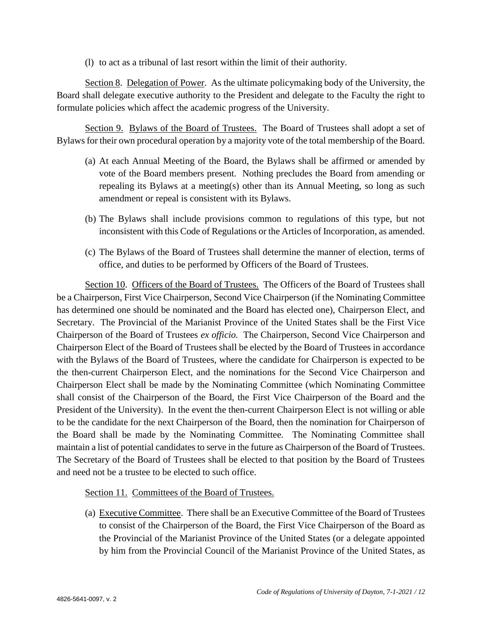(l) to act as a tribunal of last resort within the limit of their authority.

Section 8. Delegation of Power. As the ultimate policymaking body of the University, the Board shall delegate executive authority to the President and delegate to the Faculty the right to formulate policies which affect the academic progress of the University.

Section 9. Bylaws of the Board of Trustees. The Board of Trustees shall adopt a set of Bylaws for their own procedural operation by a majority vote of the total membership of the Board.

- (a) At each Annual Meeting of the Board, the Bylaws shall be affirmed or amended by vote of the Board members present. Nothing precludes the Board from amending or repealing its Bylaws at a meeting(s) other than its Annual Meeting, so long as such amendment or repeal is consistent with its Bylaws.
- (b) The Bylaws shall include provisions common to regulations of this type, but not inconsistent with this Code of Regulations or the Articles of Incorporation, as amended.
- (c) The Bylaws of the Board of Trustees shall determine the manner of election, terms of office, and duties to be performed by Officers of the Board of Trustees.

Section 10. Officers of the Board of Trustees. The Officers of the Board of Trustees shall be a Chairperson, First Vice Chairperson, Second Vice Chairperson (if the Nominating Committee has determined one should be nominated and the Board has elected one), Chairperson Elect, and Secretary. The Provincial of the Marianist Province of the United States shall be the First Vice Chairperson of the Board of Trustees *ex officio.* The Chairperson, Second Vice Chairperson and Chairperson Elect of the Board of Trustees shall be elected by the Board of Trustees in accordance with the Bylaws of the Board of Trustees, where the candidate for Chairperson is expected to be the then-current Chairperson Elect, and the nominations for the Second Vice Chairperson and Chairperson Elect shall be made by the Nominating Committee (which Nominating Committee shall consist of the Chairperson of the Board, the First Vice Chairperson of the Board and the President of the University). In the event the then-current Chairperson Elect is not willing or able to be the candidate for the next Chairperson of the Board, then the nomination for Chairperson of the Board shall be made by the Nominating Committee. The Nominating Committee shall maintain a list of potential candidates to serve in the future as Chairperson of the Board of Trustees. The Secretary of the Board of Trustees shall be elected to that position by the Board of Trustees and need not be a trustee to be elected to such office.

#### Section 11. Committees of the Board of Trustees.

(a) Executive Committee. There shall be an Executive Committee of the Board of Trustees to consist of the Chairperson of the Board, the First Vice Chairperson of the Board as the Provincial of the Marianist Province of the United States (or a delegate appointed by him from the Provincial Council of the Marianist Province of the United States, as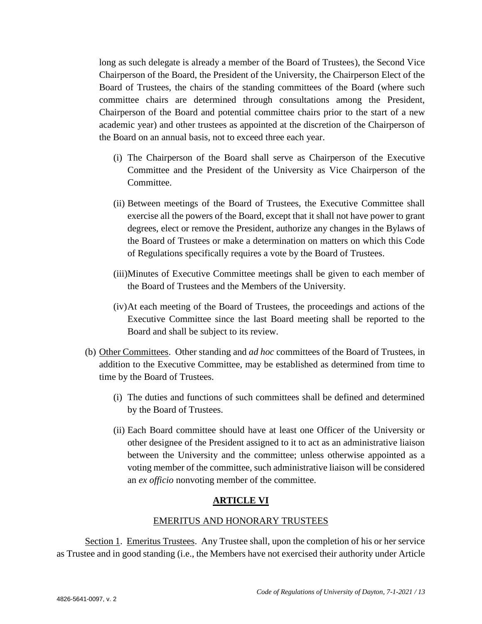long as such delegate is already a member of the Board of Trustees), the Second Vice Chairperson of the Board, the President of the University, the Chairperson Elect of the Board of Trustees, the chairs of the standing committees of the Board (where such committee chairs are determined through consultations among the President, Chairperson of the Board and potential committee chairs prior to the start of a new academic year) and other trustees as appointed at the discretion of the Chairperson of the Board on an annual basis, not to exceed three each year.

- (i) The Chairperson of the Board shall serve as Chairperson of the Executive Committee and the President of the University as Vice Chairperson of the Committee.
- (ii) Between meetings of the Board of Trustees, the Executive Committee shall exercise all the powers of the Board, except that it shall not have power to grant degrees, elect or remove the President, authorize any changes in the Bylaws of the Board of Trustees or make a determination on matters on which this Code of Regulations specifically requires a vote by the Board of Trustees.
- (iii)Minutes of Executive Committee meetings shall be given to each member of the Board of Trustees and the Members of the University.
- (iv)At each meeting of the Board of Trustees, the proceedings and actions of the Executive Committee since the last Board meeting shall be reported to the Board and shall be subject to its review.
- (b) Other Committees. Other standing and *ad hoc* committees of the Board of Trustees, in addition to the Executive Committee, may be established as determined from time to time by the Board of Trustees.
	- (i) The duties and functions of such committees shall be defined and determined by the Board of Trustees.
	- (ii) Each Board committee should have at least one Officer of the University or other designee of the President assigned to it to act as an administrative liaison between the University and the committee; unless otherwise appointed as a voting member of the committee, such administrative liaison will be considered an *ex officio* nonvoting member of the committee.

# **ARTICLE VI**

#### EMERITUS AND HONORARY TRUSTEES

Section 1. Emeritus Trustees. Any Trustee shall, upon the completion of his or her service as Trustee and in good standing (i.e., the Members have not exercised their authority under Article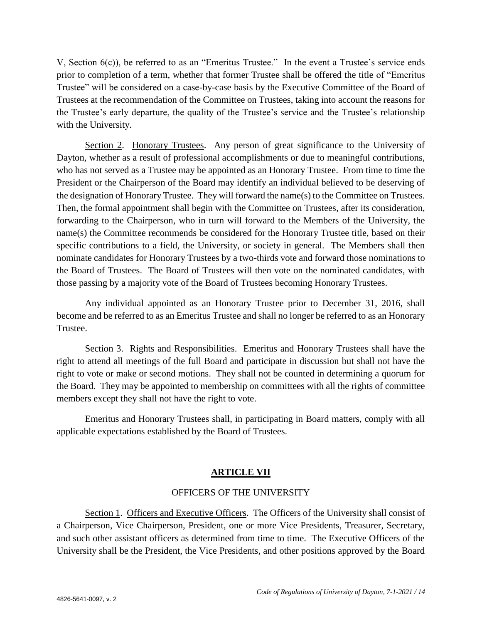V, Section 6(c)), be referred to as an "Emeritus Trustee." In the event a Trustee's service ends prior to completion of a term, whether that former Trustee shall be offered the title of "Emeritus Trustee" will be considered on a case-by-case basis by the Executive Committee of the Board of Trustees at the recommendation of the Committee on Trustees, taking into account the reasons for the Trustee's early departure, the quality of the Trustee's service and the Trustee's relationship with the University.

Section 2. Honorary Trustees. Any person of great significance to the University of Dayton, whether as a result of professional accomplishments or due to meaningful contributions, who has not served as a Trustee may be appointed as an Honorary Trustee. From time to time the President or the Chairperson of the Board may identify an individual believed to be deserving of the designation of Honorary Trustee. They will forward the name(s) to the Committee on Trustees. Then, the formal appointment shall begin with the Committee on Trustees, after its consideration, forwarding to the Chairperson, who in turn will forward to the Members of the University, the name(s) the Committee recommends be considered for the Honorary Trustee title, based on their specific contributions to a field, the University, or society in general. The Members shall then nominate candidates for Honorary Trustees by a two-thirds vote and forward those nominations to the Board of Trustees. The Board of Trustees will then vote on the nominated candidates, with those passing by a majority vote of the Board of Trustees becoming Honorary Trustees.

Any individual appointed as an Honorary Trustee prior to December 31, 2016, shall become and be referred to as an Emeritus Trustee and shall no longer be referred to as an Honorary Trustee.

Section 3. Rights and Responsibilities. Emeritus and Honorary Trustees shall have the right to attend all meetings of the full Board and participate in discussion but shall not have the right to vote or make or second motions. They shall not be counted in determining a quorum for the Board. They may be appointed to membership on committees with all the rights of committee members except they shall not have the right to vote.

Emeritus and Honorary Trustees shall, in participating in Board matters, comply with all applicable expectations established by the Board of Trustees.

#### **ARTICLE VII**

#### OFFICERS OF THE UNIVERSITY

Section 1. Officers and Executive Officers.The Officers of the University shall consist of a Chairperson, Vice Chairperson, President, one or more Vice Presidents, Treasurer, Secretary, and such other assistant officers as determined from time to time. The Executive Officers of the University shall be the President, the Vice Presidents, and other positions approved by the Board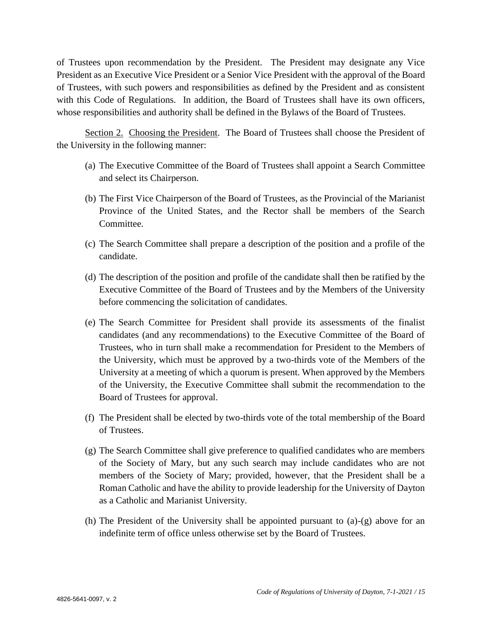of Trustees upon recommendation by the President. The President may designate any Vice President as an Executive Vice President or a Senior Vice President with the approval of the Board of Trustees, with such powers and responsibilities as defined by the President and as consistent with this Code of Regulations. In addition, the Board of Trustees shall have its own officers, whose responsibilities and authority shall be defined in the Bylaws of the Board of Trustees.

Section 2. Choosing the President. The Board of Trustees shall choose the President of the University in the following manner:

- (a) The Executive Committee of the Board of Trustees shall appoint a Search Committee and select its Chairperson.
- (b) The First Vice Chairperson of the Board of Trustees, as the Provincial of the Marianist Province of the United States, and the Rector shall be members of the Search Committee.
- (c) The Search Committee shall prepare a description of the position and a profile of the candidate.
- (d) The description of the position and profile of the candidate shall then be ratified by the Executive Committee of the Board of Trustees and by the Members of the University before commencing the solicitation of candidates.
- (e) The Search Committee for President shall provide its assessments of the finalist candidates (and any recommendations) to the Executive Committee of the Board of Trustees, who in turn shall make a recommendation for President to the Members of the University, which must be approved by a two-thirds vote of the Members of the University at a meeting of which a quorum is present. When approved by the Members of the University, the Executive Committee shall submit the recommendation to the Board of Trustees for approval.
- (f) The President shall be elected by two-thirds vote of the total membership of the Board of Trustees.
- (g) The Search Committee shall give preference to qualified candidates who are members of the Society of Mary, but any such search may include candidates who are not members of the Society of Mary; provided, however, that the President shall be a Roman Catholic and have the ability to provide leadership for the University of Dayton as a Catholic and Marianist University.
- (h) The President of the University shall be appointed pursuant to (a)-(g) above for an indefinite term of office unless otherwise set by the Board of Trustees.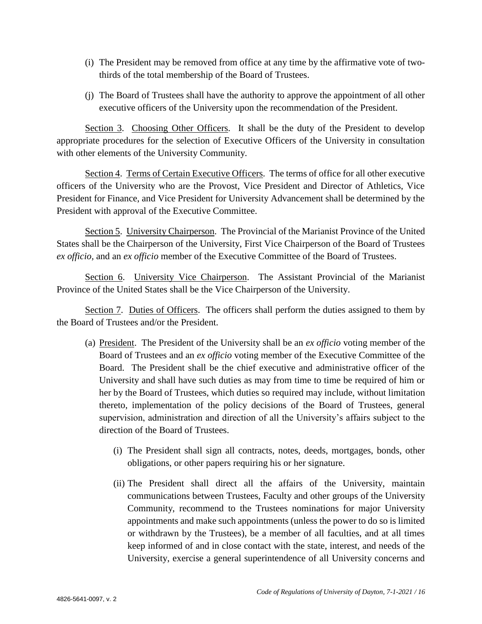- (i) The President may be removed from office at any time by the affirmative vote of twothirds of the total membership of the Board of Trustees.
- (j) The Board of Trustees shall have the authority to approve the appointment of all other executive officers of the University upon the recommendation of the President.

Section 3. Choosing Other Officers. It shall be the duty of the President to develop appropriate procedures for the selection of Executive Officers of the University in consultation with other elements of the University Community.

Section 4. Terms of Certain Executive Officers. The terms of office for all other executive officers of the University who are the Provost, Vice President and Director of Athletics, Vice President for Finance, and Vice President for University Advancement shall be determined by the President with approval of the Executive Committee.

Section 5. University Chairperson. The Provincial of the Marianist Province of the United States shall be the Chairperson of the University, First Vice Chairperson of the Board of Trustees *ex officio,* and an *ex officio* member of the Executive Committee of the Board of Trustees.

Section 6. University Vice Chairperson. The Assistant Provincial of the Marianist Province of the United States shall be the Vice Chairperson of the University.

Section 7. Duties of Officers. The officers shall perform the duties assigned to them by the Board of Trustees and/or the President.

- (a) President. The President of the University shall be an *ex officio* voting member of the Board of Trustees and an *ex officio* voting member of the Executive Committee of the Board. The President shall be the chief executive and administrative officer of the University and shall have such duties as may from time to time be required of him or her by the Board of Trustees, which duties so required may include, without limitation thereto, implementation of the policy decisions of the Board of Trustees, general supervision, administration and direction of all the University's affairs subject to the direction of the Board of Trustees.
	- (i) The President shall sign all contracts, notes, deeds, mortgages, bonds, other obligations, or other papers requiring his or her signature.
	- (ii) The President shall direct all the affairs of the University, maintain communications between Trustees, Faculty and other groups of the University Community, recommend to the Trustees nominations for major University appointments and make such appointments (unless the power to do so is limited or withdrawn by the Trustees), be a member of all faculties, and at all times keep informed of and in close contact with the state, interest, and needs of the University, exercise a general superintendence of all University concerns and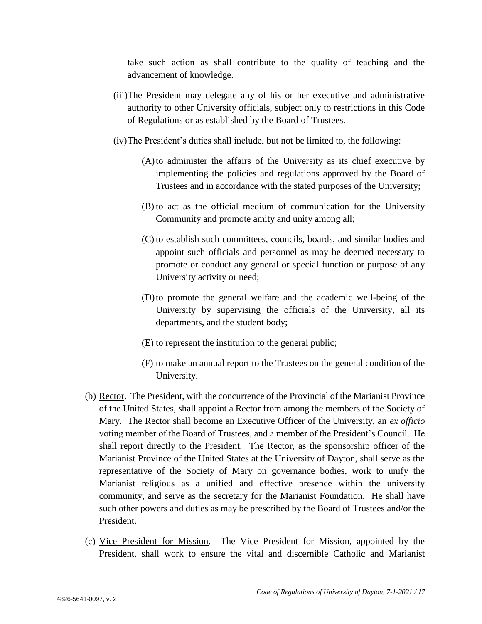take such action as shall contribute to the quality of teaching and the advancement of knowledge.

- (iii)The President may delegate any of his or her executive and administrative authority to other University officials, subject only to restrictions in this Code of Regulations or as established by the Board of Trustees.
- (iv)The President's duties shall include, but not be limited to, the following:
	- (A)to administer the affairs of the University as its chief executive by implementing the policies and regulations approved by the Board of Trustees and in accordance with the stated purposes of the University;
	- (B) to act as the official medium of communication for the University Community and promote amity and unity among all;
	- (C) to establish such committees, councils, boards, and similar bodies and appoint such officials and personnel as may be deemed necessary to promote or conduct any general or special function or purpose of any University activity or need;
	- (D)to promote the general welfare and the academic well-being of the University by supervising the officials of the University, all its departments, and the student body;
	- (E) to represent the institution to the general public;
	- (F) to make an annual report to the Trustees on the general condition of the University.
- (b) Rector. The President, with the concurrence of the Provincial of the Marianist Province of the United States, shall appoint a Rector from among the members of the Society of Mary. The Rector shall become an Executive Officer of the University, an *ex officio*  voting member of the Board of Trustees, and a member of the President's Council. He shall report directly to the President. The Rector, as the sponsorship officer of the Marianist Province of the United States at the University of Dayton, shall serve as the representative of the Society of Mary on governance bodies, work to unify the Marianist religious as a unified and effective presence within the university community, and serve as the secretary for the Marianist Foundation. He shall have such other powers and duties as may be prescribed by the Board of Trustees and/or the President.
- (c) Vice President for Mission. The Vice President for Mission, appointed by the President, shall work to ensure the vital and discernible Catholic and Marianist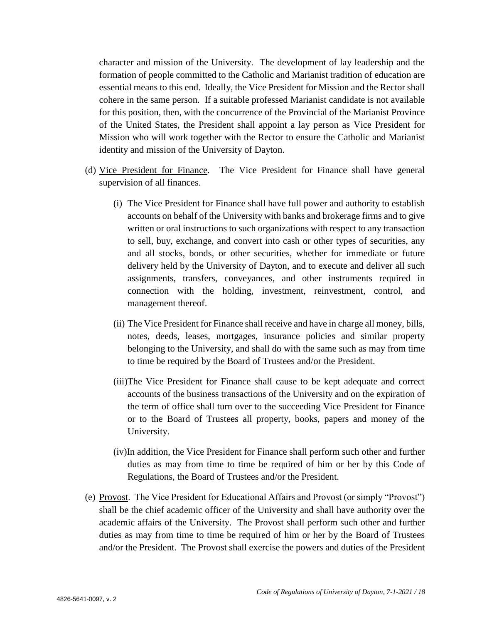character and mission of the University. The development of lay leadership and the formation of people committed to the Catholic and Marianist tradition of education are essential means to this end. Ideally, the Vice President for Mission and the Rector shall cohere in the same person. If a suitable professed Marianist candidate is not available for this position, then, with the concurrence of the Provincial of the Marianist Province of the United States, the President shall appoint a lay person as Vice President for Mission who will work together with the Rector to ensure the Catholic and Marianist identity and mission of the University of Dayton.

- (d) Vice President for Finance. The Vice President for Finance shall have general supervision of all finances.
	- (i) The Vice President for Finance shall have full power and authority to establish accounts on behalf of the University with banks and brokerage firms and to give written or oral instructions to such organizations with respect to any transaction to sell, buy, exchange, and convert into cash or other types of securities, any and all stocks, bonds, or other securities, whether for immediate or future delivery held by the University of Dayton, and to execute and deliver all such assignments, transfers, conveyances, and other instruments required in connection with the holding, investment, reinvestment, control, and management thereof.
	- (ii) The Vice President for Finance shall receive and have in charge all money, bills, notes, deeds, leases, mortgages, insurance policies and similar property belonging to the University, and shall do with the same such as may from time to time be required by the Board of Trustees and/or the President.
	- (iii)The Vice President for Finance shall cause to be kept adequate and correct accounts of the business transactions of the University and on the expiration of the term of office shall turn over to the succeeding Vice President for Finance or to the Board of Trustees all property, books, papers and money of the University.
	- (iv)In addition, the Vice President for Finance shall perform such other and further duties as may from time to time be required of him or her by this Code of Regulations, the Board of Trustees and/or the President.
- (e) Provost. The Vice President for Educational Affairs and Provost (or simply "Provost") shall be the chief academic officer of the University and shall have authority over the academic affairs of the University. The Provost shall perform such other and further duties as may from time to time be required of him or her by the Board of Trustees and/or the President. The Provost shall exercise the powers and duties of the President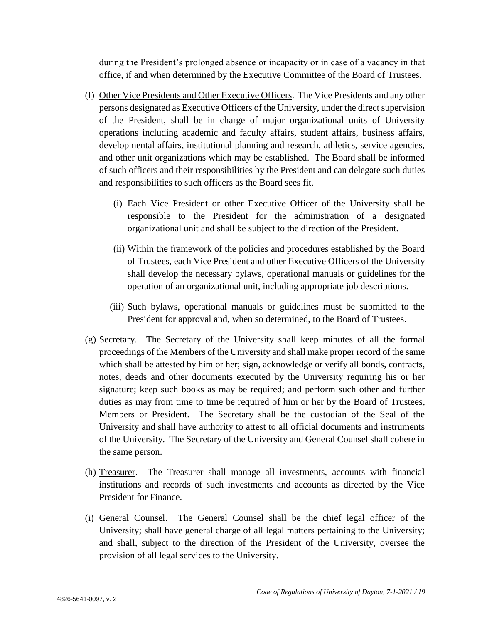during the President's prolonged absence or incapacity or in case of a vacancy in that office, if and when determined by the Executive Committee of the Board of Trustees.

- (f) Other Vice Presidents and Other Executive Officers. The Vice Presidents and any other persons designated as Executive Officers of the University, under the direct supervision of the President, shall be in charge of major organizational units of University operations including academic and faculty affairs, student affairs, business affairs, developmental affairs, institutional planning and research, athletics, service agencies, and other unit organizations which may be established. The Board shall be informed of such officers and their responsibilities by the President and can delegate such duties and responsibilities to such officers as the Board sees fit.
	- (i) Each Vice President or other Executive Officer of the University shall be responsible to the President for the administration of a designated organizational unit and shall be subject to the direction of the President.
	- (ii) Within the framework of the policies and procedures established by the Board of Trustees, each Vice President and other Executive Officers of the University shall develop the necessary bylaws, operational manuals or guidelines for the operation of an organizational unit, including appropriate job descriptions.
	- (iii) Such bylaws, operational manuals or guidelines must be submitted to the President for approval and, when so determined, to the Board of Trustees.
- (g) Secretary. The Secretary of the University shall keep minutes of all the formal proceedings of the Members of the University and shall make proper record of the same which shall be attested by him or her; sign, acknowledge or verify all bonds, contracts, notes, deeds and other documents executed by the University requiring his or her signature; keep such books as may be required; and perform such other and further duties as may from time to time be required of him or her by the Board of Trustees, Members or President. The Secretary shall be the custodian of the Seal of the University and shall have authority to attest to all official documents and instruments of the University. The Secretary of the University and General Counsel shall cohere in the same person.
- (h) Treasurer. The Treasurer shall manage all investments, accounts with financial institutions and records of such investments and accounts as directed by the Vice President for Finance.
- (i) General Counsel. The General Counsel shall be the chief legal officer of the University; shall have general charge of all legal matters pertaining to the University; and shall, subject to the direction of the President of the University, oversee the provision of all legal services to the University.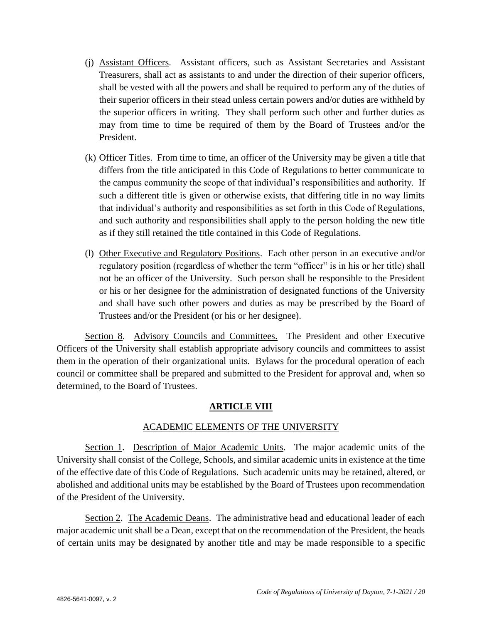- (j) Assistant Officers. Assistant officers, such as Assistant Secretaries and Assistant Treasurers, shall act as assistants to and under the direction of their superior officers, shall be vested with all the powers and shall be required to perform any of the duties of their superior officers in their stead unless certain powers and/or duties are withheld by the superior officers in writing. They shall perform such other and further duties as may from time to time be required of them by the Board of Trustees and/or the President.
- (k) Officer Titles. From time to time, an officer of the University may be given a title that differs from the title anticipated in this Code of Regulations to better communicate to the campus community the scope of that individual's responsibilities and authority. If such a different title is given or otherwise exists, that differing title in no way limits that individual's authority and responsibilities as set forth in this Code of Regulations, and such authority and responsibilities shall apply to the person holding the new title as if they still retained the title contained in this Code of Regulations.
- (l) Other Executive and Regulatory Positions. Each other person in an executive and/or regulatory position (regardless of whether the term "officer" is in his or her title) shall not be an officer of the University. Such person shall be responsible to the President or his or her designee for the administration of designated functions of the University and shall have such other powers and duties as may be prescribed by the Board of Trustees and/or the President (or his or her designee).

Section 8. Advisory Councils and Committees. The President and other Executive Officers of the University shall establish appropriate advisory councils and committees to assist them in the operation of their organizational units. Bylaws for the procedural operation of each council or committee shall be prepared and submitted to the President for approval and, when so determined, to the Board of Trustees.

#### **ARTICLE VIII**

#### ACADEMIC ELEMENTS OF THE UNIVERSITY

Section 1. Description of Major Academic Units. The major academic units of the University shall consist of the College, Schools, and similar academic units in existence at the time of the effective date of this Code of Regulations. Such academic units may be retained, altered, or abolished and additional units may be established by the Board of Trustees upon recommendation of the President of the University.

Section 2. The Academic Deans. The administrative head and educational leader of each major academic unit shall be a Dean, except that on the recommendation of the President, the heads of certain units may be designated by another title and may be made responsible to a specific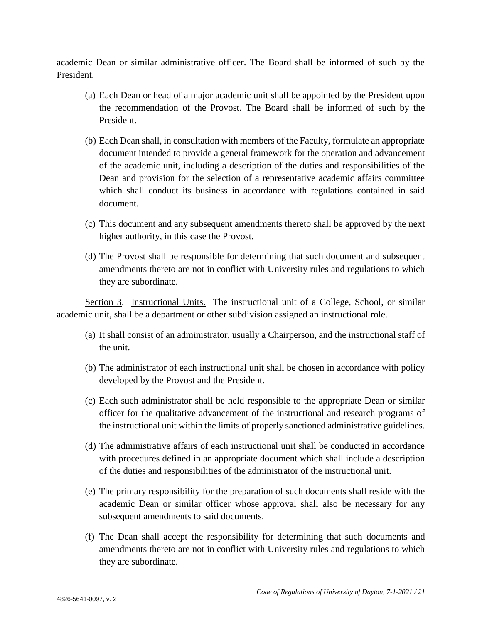academic Dean or similar administrative officer. The Board shall be informed of such by the President.

- (a) Each Dean or head of a major academic unit shall be appointed by the President upon the recommendation of the Provost. The Board shall be informed of such by the President.
- (b) Each Dean shall, in consultation with members of the Faculty, formulate an appropriate document intended to provide a general framework for the operation and advancement of the academic unit, including a description of the duties and responsibilities of the Dean and provision for the selection of a representative academic affairs committee which shall conduct its business in accordance with regulations contained in said document.
- (c) This document and any subsequent amendments thereto shall be approved by the next higher authority, in this case the Provost.
- (d) The Provost shall be responsible for determining that such document and subsequent amendments thereto are not in conflict with University rules and regulations to which they are subordinate.

Section 3. Instructional Units. The instructional unit of a College, School, or similar academic unit, shall be a department or other subdivision assigned an instructional role.

- (a) It shall consist of an administrator, usually a Chairperson, and the instructional staff of the unit.
- (b) The administrator of each instructional unit shall be chosen in accordance with policy developed by the Provost and the President.
- (c) Each such administrator shall be held responsible to the appropriate Dean or similar officer for the qualitative advancement of the instructional and research programs of the instructional unit within the limits of properly sanctioned administrative guidelines.
- (d) The administrative affairs of each instructional unit shall be conducted in accordance with procedures defined in an appropriate document which shall include a description of the duties and responsibilities of the administrator of the instructional unit.
- (e) The primary responsibility for the preparation of such documents shall reside with the academic Dean or similar officer whose approval shall also be necessary for any subsequent amendments to said documents.
- (f) The Dean shall accept the responsibility for determining that such documents and amendments thereto are not in conflict with University rules and regulations to which they are subordinate.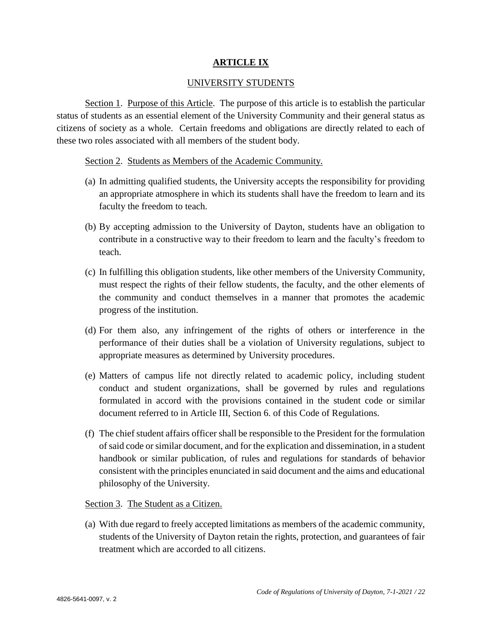#### **ARTICLE IX**

#### UNIVERSITY STUDENTS

Section 1. Purpose of this Article. The purpose of this article is to establish the particular status of students as an essential element of the University Community and their general status as citizens of society as a whole. Certain freedoms and obligations are directly related to each of these two roles associated with all members of the student body.

Section 2. Students as Members of the Academic Community.

- (a) In admitting qualified students, the University accepts the responsibility for providing an appropriate atmosphere in which its students shall have the freedom to learn and its faculty the freedom to teach.
- (b) By accepting admission to the University of Dayton, students have an obligation to contribute in a constructive way to their freedom to learn and the faculty's freedom to teach.
- (c) In fulfilling this obligation students, like other members of the University Community, must respect the rights of their fellow students, the faculty, and the other elements of the community and conduct themselves in a manner that promotes the academic progress of the institution.
- (d) For them also, any infringement of the rights of others or interference in the performance of their duties shall be a violation of University regulations, subject to appropriate measures as determined by University procedures.
- (e) Matters of campus life not directly related to academic policy, including student conduct and student organizations, shall be governed by rules and regulations formulated in accord with the provisions contained in the student code or similar document referred to in Article III, Section 6. of this Code of Regulations.
- (f) The chief student affairs officer shall be responsible to the President for the formulation of said code or similar document, and for the explication and dissemination, in a student handbook or similar publication, of rules and regulations for standards of behavior consistent with the principles enunciated in said document and the aims and educational philosophy of the University.

Section 3. The Student as a Citizen.

(a) With due regard to freely accepted limitations as members of the academic community, students of the University of Dayton retain the rights, protection, and guarantees of fair treatment which are accorded to all citizens.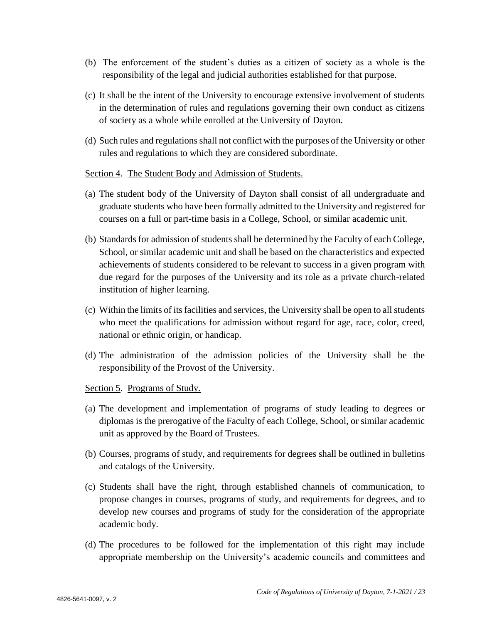- (b) The enforcement of the student's duties as a citizen of society as a whole is the responsibility of the legal and judicial authorities established for that purpose.
- (c) It shall be the intent of the University to encourage extensive involvement of students in the determination of rules and regulations governing their own conduct as citizens of society as a whole while enrolled at the University of Dayton.
- (d) Such rules and regulations shall not conflict with the purposes of the University or other rules and regulations to which they are considered subordinate.

#### Section 4. The Student Body and Admission of Students.

- (a) The student body of the University of Dayton shall consist of all undergraduate and graduate students who have been formally admitted to the University and registered for courses on a full or part-time basis in a College, School, or similar academic unit.
- (b) Standards for admission of students shall be determined by the Faculty of each College, School, or similar academic unit and shall be based on the characteristics and expected achievements of students considered to be relevant to success in a given program with due regard for the purposes of the University and its role as a private church-related institution of higher learning.
- (c) Within the limits of its facilities and services, the University shall be open to all students who meet the qualifications for admission without regard for age, race, color, creed, national or ethnic origin, or handicap.
- (d) The administration of the admission policies of the University shall be the responsibility of the Provost of the University.

#### Section 5. Programs of Study.

- (a) The development and implementation of programs of study leading to degrees or diplomas is the prerogative of the Faculty of each College, School, or similar academic unit as approved by the Board of Trustees.
- (b) Courses, programs of study, and requirements for degrees shall be outlined in bulletins and catalogs of the University.
- (c) Students shall have the right, through established channels of communication, to propose changes in courses, programs of study, and requirements for degrees, and to develop new courses and programs of study for the consideration of the appropriate academic body.
- (d) The procedures to be followed for the implementation of this right may include appropriate membership on the University's academic councils and committees and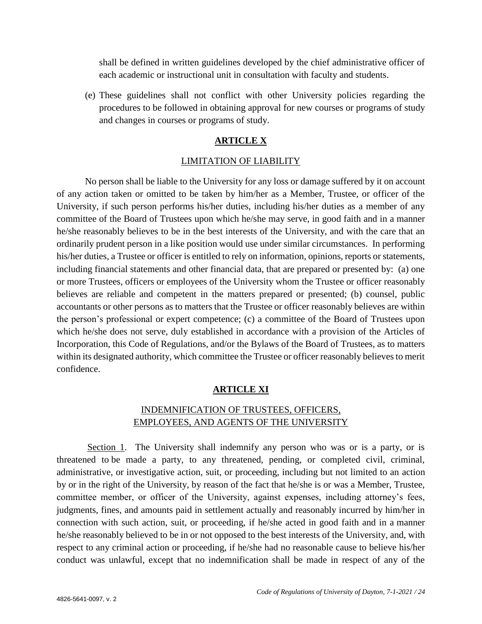shall be defined in written guidelines developed by the chief administrative officer of each academic or instructional unit in consultation with faculty and students.

(e) These guidelines shall not conflict with other University policies regarding the procedures to be followed in obtaining approval for new courses or programs of study and changes in courses or programs of study.

#### **ARTICLE X**

#### LIMITATION OF LIABILITY

No person shall be liable to the University for any loss or damage suffered by it on account of any action taken or omitted to be taken by him/her as a Member, Trustee, or officer of the University, if such person performs his/her duties, including his/her duties as a member of any committee of the Board of Trustees upon which he/she may serve, in good faith and in a manner he/she reasonably believes to be in the best interests of the University, and with the care that an ordinarily prudent person in a like position would use under similar circumstances. In performing his/her duties, a Trustee or officer is entitled to rely on information, opinions, reports or statements, including financial statements and other financial data, that are prepared or presented by: (a) one or more Trustees, officers or employees of the University whom the Trustee or officer reasonably believes are reliable and competent in the matters prepared or presented; (b) counsel, public accountants or other persons as to matters that the Trustee or officer reasonably believes are within the person's professional or expert competence; (c) a committee of the Board of Trustees upon which he/she does not serve, duly established in accordance with a provision of the Articles of Incorporation, this Code of Regulations, and/or the Bylaws of the Board of Trustees, as to matters within its designated authority, which committee the Trustee or officer reasonably believes to merit confidence.

#### **ARTICLE XI**

# INDEMNIFICATION OF TRUSTEES, OFFICERS, EMPLOYEES, AND AGENTS OF THE UNIVERSITY

Section 1. The University shall indemnify any person who was or is a party, or is threatened to be made a party, to any threatened, pending, or completed civil, criminal, administrative, or investigative action, suit, or proceeding, including but not limited to an action by or in the right of the University, by reason of the fact that he/she is or was a Member, Trustee, committee member, or officer of the University, against expenses, including attorney's fees, judgments, fines, and amounts paid in settlement actually and reasonably incurred by him/her in connection with such action, suit, or proceeding, if he/she acted in good faith and in a manner he/she reasonably believed to be in or not opposed to the best interests of the University, and, with respect to any criminal action or proceeding, if he/she had no reasonable cause to believe his/her conduct was unlawful, except that no indemnification shall be made in respect of any of the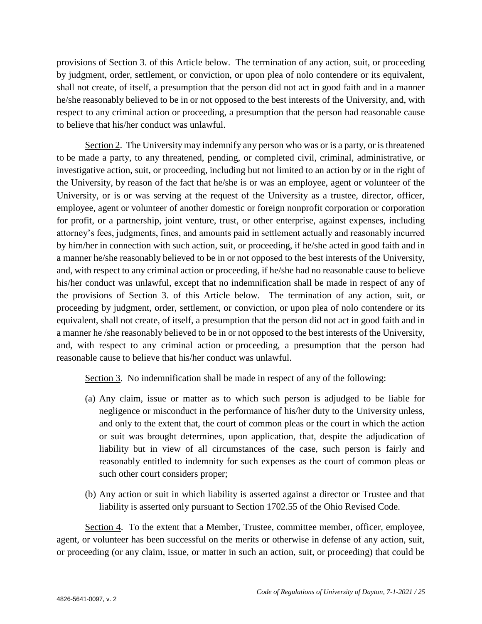provisions of Section 3. of this Article below. The termination of any action, suit, or proceeding by judgment, order, settlement, or conviction, or upon plea of nolo contendere or its equivalent, shall not create, of itself, a presumption that the person did not act in good faith and in a manner he/she reasonably believed to be in or not opposed to the best interests of the University, and, with respect to any criminal action or proceeding, a presumption that the person had reasonable cause to believe that his/her conduct was unlawful.

Section 2. The University may indemnify any person who was or is a party, or is threatened to be made a party, to any threatened, pending, or completed civil, criminal, administrative, or investigative action, suit, or proceeding, including but not limited to an action by or in the right of the University, by reason of the fact that he/she is or was an employee, agent or volunteer of the University, or is or was serving at the request of the University as a trustee, director, officer, employee, agent or volunteer of another domestic or foreign nonprofit corporation or corporation for profit, or a partnership, joint venture, trust, or other enterprise, against expenses, including attorney's fees, judgments, fines, and amounts paid in settlement actually and reasonably incurred by him/her in connection with such action, suit, or proceeding, if he/she acted in good faith and in a manner he/she reasonably believed to be in or not opposed to the best interests of the University, and, with respect to any criminal action or proceeding, if he/she had no reasonable cause to believe his/her conduct was unlawful, except that no indemnification shall be made in respect of any of the provisions of Section 3. of this Article below. The termination of any action, suit, or proceeding by judgment, order, settlement, or conviction, or upon plea of nolo contendere or its equivalent, shall not create, of itself, a presumption that the person did not act in good faith and in a manner he /she reasonably believed to be in or not opposed to the best interests of the University, and, with respect to any criminal action or proceeding, a presumption that the person had reasonable cause to believe that his/her conduct was unlawful.

Section 3. No indemnification shall be made in respect of any of the following:

- (a) Any claim, issue or matter as to which such person is adjudged to be liable for negligence or misconduct in the performance of his/her duty to the University unless, and only to the extent that, the court of common pleas or the court in which the action or suit was brought determines, upon application, that, despite the adjudication of liability but in view of all circumstances of the case, such person is fairly and reasonably entitled to indemnity for such expenses as the court of common pleas or such other court considers proper;
- (b) Any action or suit in which liability is asserted against a director or Trustee and that liability is asserted only pursuant to Section 1702.55 of the Ohio Revised Code.

Section 4. To the extent that a Member, Trustee, committee member, officer, employee, agent, or volunteer has been successful on the merits or otherwise in defense of any action, suit, or proceeding (or any claim, issue, or matter in such an action, suit, or proceeding) that could be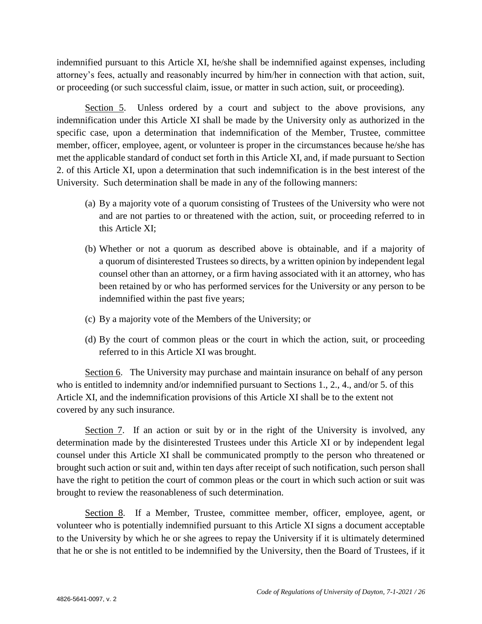indemnified pursuant to this Article XI, he/she shall be indemnified against expenses, including attorney's fees, actually and reasonably incurred by him/her in connection with that action, suit, or proceeding (or such successful claim, issue, or matter in such action, suit, or proceeding).

Section 5. Unless ordered by a court and subject to the above provisions, any indemnification under this Article XI shall be made by the University only as authorized in the specific case, upon a determination that indemnification of the Member, Trustee, committee member, officer, employee, agent, or volunteer is proper in the circumstances because he/she has met the applicable standard of conduct set forth in this Article XI, and, if made pursuant to Section 2. of this Article XI, upon a determination that such indemnification is in the best interest of the University. Such determination shall be made in any of the following manners:

- (a) By a majority vote of a quorum consisting of Trustees of the University who were not and are not parties to or threatened with the action, suit, or proceeding referred to in this Article XI;
- (b) Whether or not a quorum as described above is obtainable, and if a majority of a quorum of disinterested Trustees so directs, by a written opinion by independent legal counsel other than an attorney, or a firm having associated with it an attorney, who has been retained by or who has performed services for the University or any person to be indemnified within the past five years;
- (c) By a majority vote of the Members of the University; or
- (d) By the court of common pleas or the court in which the action, suit, or proceeding referred to in this Article XI was brought.

Section 6. The University may purchase and maintain insurance on behalf of any person who is entitled to indemnity and/or indemnified pursuant to Sections 1., 2., 4., and/or 5. of this Article XI, and the indemnification provisions of this Article XI shall be to the extent not covered by any such insurance.

Section 7. If an action or suit by or in the right of the University is involved, any determination made by the disinterested Trustees under this Article XI or by independent legal counsel under this Article XI shall be communicated promptly to the person who threatened or brought such action or suit and, within ten days after receipt of such notification, such person shall have the right to petition the court of common pleas or the court in which such action or suit was brought to review the reasonableness of such determination.

Section 8. If a Member, Trustee, committee member, officer, employee, agent, or volunteer who is potentially indemnified pursuant to this Article XI signs a document acceptable to the University by which he or she agrees to repay the University if it is ultimately determined that he or she is not entitled to be indemnified by the University, then the Board of Trustees, if it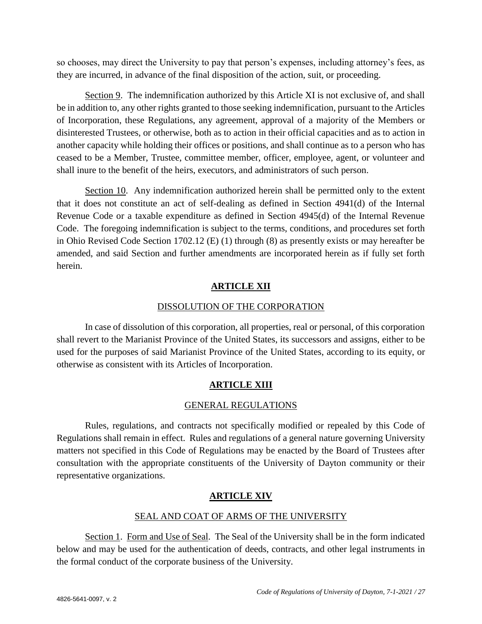so chooses, may direct the University to pay that person's expenses, including attorney's fees, as they are incurred, in advance of the final disposition of the action, suit, or proceeding.

Section 9. The indemnification authorized by this Article XI is not exclusive of, and shall be in addition to, any other rights granted to those seeking indemnification, pursuant to the Articles of Incorporation, these Regulations, any agreement, approval of a majority of the Members or disinterested Trustees, or otherwise, both as to action in their official capacities and as to action in another capacity while holding their offices or positions, and shall continue as to a person who has ceased to be a Member, Trustee, committee member, officer, employee, agent, or volunteer and shall inure to the benefit of the heirs, executors, and administrators of such person.

Section 10. Any indemnification authorized herein shall be permitted only to the extent that it does not constitute an act of self-dealing as defined in Section 4941(d) of the Internal Revenue Code or a taxable expenditure as defined in Section 4945(d) of the Internal Revenue Code. The foregoing indemnification is subject to the terms, conditions, and procedures set forth in Ohio Revised Code Section 1702.12 (E) (1) through (8) as presently exists or may hereafter be amended, and said Section and further amendments are incorporated herein as if fully set forth herein.

#### **ARTICLE XII**

#### DISSOLUTION OF THE CORPORATION

In case of dissolution of this corporation, all properties, real or personal, of this corporation shall revert to the Marianist Province of the United States, its successors and assigns, either to be used for the purposes of said Marianist Province of the United States, according to its equity, or otherwise as consistent with its Articles of Incorporation.

# **ARTICLE XIII**

#### GENERAL REGULATIONS

Rules, regulations, and contracts not specifically modified or repealed by this Code of Regulations shall remain in effect. Rules and regulations of a general nature governing University matters not specified in this Code of Regulations may be enacted by the Board of Trustees after consultation with the appropriate constituents of the University of Dayton community or their representative organizations.

# **ARTICLE XIV**

#### SEAL AND COAT OF ARMS OF THE UNIVERSITY

Section 1. Form and Use of Seal. The Seal of the University shall be in the form indicated below and may be used for the authentication of deeds, contracts, and other legal instruments in the formal conduct of the corporate business of the University.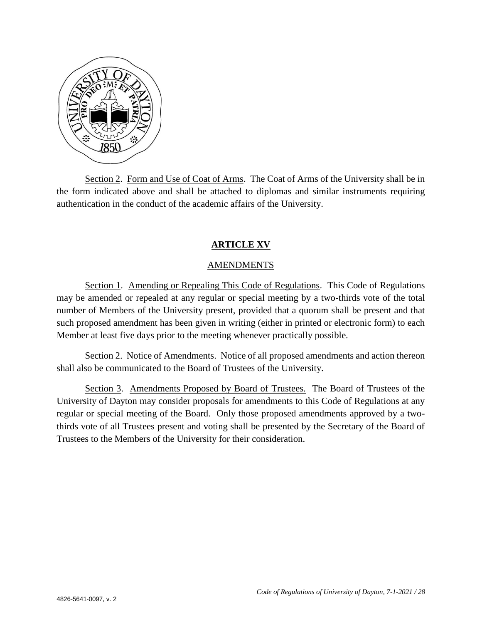

Section 2. Form and Use of Coat of Arms. The Coat of Arms of the University shall be in the form indicated above and shall be attached to diplomas and similar instruments requiring authentication in the conduct of the academic affairs of the University.

#### **ARTICLE XV**

#### AMENDMENTS

Section 1. Amending or Repealing This Code of Regulations. This Code of Regulations may be amended or repealed at any regular or special meeting by a two-thirds vote of the total number of Members of the University present, provided that a quorum shall be present and that such proposed amendment has been given in writing (either in printed or electronic form) to each Member at least five days prior to the meeting whenever practically possible.

Section 2. Notice of Amendments. Notice of all proposed amendments and action thereon shall also be communicated to the Board of Trustees of the University.

Section 3. Amendments Proposed by Board of Trustees. The Board of Trustees of the University of Dayton may consider proposals for amendments to this Code of Regulations at any regular or special meeting of the Board. Only those proposed amendments approved by a twothirds vote of all Trustees present and voting shall be presented by the Secretary of the Board of Trustees to the Members of the University for their consideration.